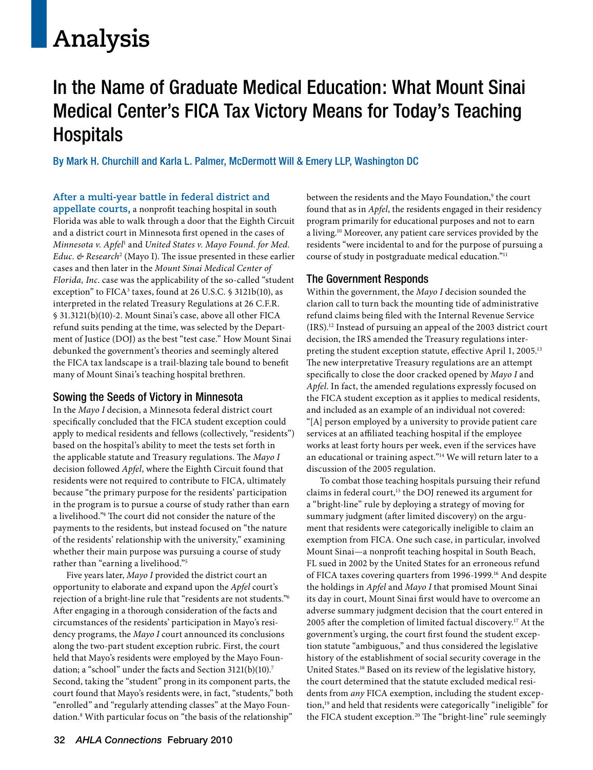# **Analysis**

### In the Name of Graduate Medical Education: What Mount Sinai Medical Center's FICA Tax Victory Means for Today's Teaching Hospitals

By Mark H. Churchill and Karla L. Palmer, McDermott Will & Emery LLP, Washington DC

#### **After a multi-year battle in federal district and**

**appellate courts,** a nonprofit teaching hospital in south Florida was able to walk through a door that the Eighth Circuit and a district court in Minnesota first opened in the cases of *Minnesota v. Apfel*<sup>1</sup> and *United States v. Mayo Found. for Med. Educ. & Research*<sup>2</sup> (Mayo I). The issue presented in these earlier cases and then later in the *Mount Sinai Medical Center of Florida, Inc*. case was the applicability of the so-called "student exception" to FICA<sup>3</sup> taxes, found at 26 U.S.C. § 3121b(10), as interpreted in the related Treasury Regulations at 26 C.F.R. § 31.3121(b)(10)-2. Mount Sinai's case, above all other FICA refund suits pending at the time, was selected by the Department of Justice (DOJ) as the best "test case." How Mount Sinai debunked the government's theories and seemingly altered the FICA tax landscape is a trail-blazing tale bound to benefit many of Mount Sinai's teaching hospital brethren.

#### Sowing the Seeds of Victory in Minnesota

In the *Mayo I* decision, a Minnesota federal district court specifically concluded that the FICA student exception could apply to medical residents and fellows (collectively, "residents") based on the hospital's ability to meet the tests set forth in the applicable statute and Treasury regulations. The *Mayo I* decision followed *Apfel*, where the Eighth Circuit found that residents were not required to contribute to FICA, ultimately because "the primary purpose for the residents' participation in the program is to pursue a course of study rather than earn a livelihood."4 The court did not consider the nature of the payments to the residents, but instead focused on "the nature of the residents' relationship with the university," examining whether their main purpose was pursuing a course of study rather than "earning a livelihood."5

Five years later, *Mayo I* provided the district court an opportunity to elaborate and expand upon the *Apfel* court's rejection of a bright-line rule that "residents are not students."6 After engaging in a thorough consideration of the facts and circumstances of the residents' participation in Mayo's residency programs, the *Mayo I* court announced its conclusions along the two-part student exception rubric. First, the court held that Mayo's residents were employed by the Mayo Foundation; a "school" under the facts and Section 3121(b)(10).<sup>7</sup> Second, taking the "student" prong in its component parts, the court found that Mayo's residents were, in fact, "students," both "enrolled" and "regularly attending classes" at the Mayo Foundation.8 With particular focus on "the basis of the relationship"

between the residents and the Mayo Foundation,<sup>9</sup> the court found that as in *Apfel*, the residents engaged in their residency program primarily for educational purposes and not to earn a living.10 Moreover, any patient care services provided by the residents "were incidental to and for the purpose of pursuing a course of study in postgraduate medical education."11

#### The Government Responds

Within the government, the *Mayo I* decision sounded the clarion call to turn back the mounting tide of administrative refund claims being filed with the Internal Revenue Service (IRS).12 Instead of pursuing an appeal of the 2003 district court decision, the IRS amended the Treasury regulations interpreting the student exception statute, effective April 1, 2005.13 The new interpretative Treasury regulations are an attempt specifically to close the door cracked opened by *Mayo I* and *Apfel*. In fact, the amended regulations expressly focused on the FICA student exception as it applies to medical residents, and included as an example of an individual not covered: "[A] person employed by a university to provide patient care services at an affiliated teaching hospital if the employee works at least forty hours per week, even if the services have an educational or training aspect."<sup>14</sup> We will return later to a discussion of the 2005 regulation.

To combat those teaching hospitals pursuing their refund claims in federal court,15 the DOJ renewed its argument for a "bright-line" rule by deploying a strategy of moving for summary judgment (after limited discovery) on the argument that residents were categorically ineligible to claim an exemption from FICA. One such case, in particular, involved Mount Sinai—a nonprofit teaching hospital in South Beach, FL sued in 2002 by the United States for an erroneous refund of FICA taxes covering quarters from 1996-1999.16 And despite the holdings in *Apfel* and *Mayo I* that promised Mount Sinai its day in court, Mount Sinai first would have to overcome an adverse summary judgment decision that the court entered in 2005 after the completion of limited factual discovery.<sup>17</sup> At the government's urging, the court first found the student exception statute "ambiguous," and thus considered the legislative history of the establishment of social security coverage in the United States.18 Based on its review of the legislative history, the court determined that the statute excluded medical residents from *any* FICA exemption, including the student exception,19 and held that residents were categorically "ineligible" for the FICA student exception.<sup>20</sup> The "bright-line" rule seemingly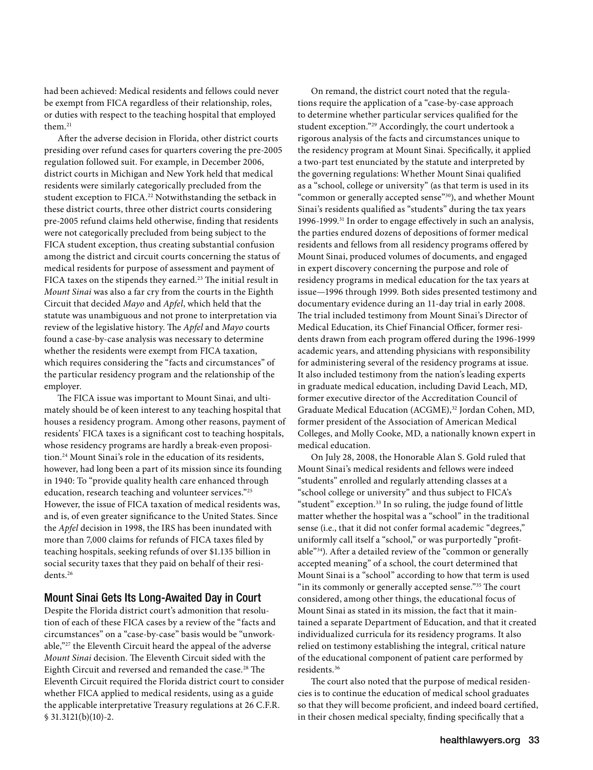had been achieved: Medical residents and fellows could never be exempt from FICA regardless of their relationship, roles, or duties with respect to the teaching hospital that employed them.21

After the adverse decision in Florida, other district courts presiding over refund cases for quarters covering the pre-2005 regulation followed suit. For example, in December 2006, district courts in Michigan and New York held that medical residents were similarly categorically precluded from the student exception to FICA.<sup>22</sup> Notwithstanding the setback in these district courts, three other district courts considering pre-2005 refund claims held otherwise, finding that residents were not categorically precluded from being subject to the FICA student exception, thus creating substantial confusion among the district and circuit courts concerning the status of medical residents for purpose of assessment and payment of FICA taxes on the stipends they earned.<sup>23</sup> The initial result in *Mount Sinai* was also a far cry from the courts in the Eighth Circuit that decided *Mayo* and *Apfel*, which held that the statute was unambiguous and not prone to interpretation via review of the legislative history. The *Apfel* and *Mayo* courts found a case-by-case analysis was necessary to determine whether the residents were exempt from FICA taxation, which requires considering the "facts and circumstances" of the particular residency program and the relationship of the employer.

The FICA issue was important to Mount Sinai, and ultimately should be of keen interest to any teaching hospital that houses a residency program. Among other reasons, payment of residents' FICA taxes is a significant cost to teaching hospitals, whose residency programs are hardly a break-even proposition.24 Mount Sinai's role in the education of its residents, however, had long been a part of its mission since its founding in 1940: To "provide quality health care enhanced through education, research teaching and volunteer services."25 However, the issue of FICA taxation of medical residents was, and is, of even greater significance to the United States. Since the *Apfel* decision in 1998, the IRS has been inundated with more than 7,000 claims for refunds of FICA taxes filed by teaching hospitals, seeking refunds of over \$1.135 billion in social security taxes that they paid on behalf of their residents.26

#### Mount Sinai Gets Its Long-Awaited Day in Court

Despite the Florida district court's admonition that resolution of each of these FICA cases by a review of the "facts and circumstances" on a "case-by-case" basis would be "unworkable,"27 the Eleventh Circuit heard the appeal of the adverse *Mount Sinai* decision. The Eleventh Circuit sided with the Eighth Circuit and reversed and remanded the case.<sup>28</sup> The Eleventh Circuit required the Florida district court to consider whether FICA applied to medical residents, using as a guide the applicable interpretative Treasury regulations at 26 C.F.R. § 31.3121(b)(10)-2.

On remand, the district court noted that the regulations require the application of a "case-by-case approach to determine whether particular services qualified for the student exception."29 Accordingly, the court undertook a rigorous analysis of the facts and circumstances unique to the residency program at Mount Sinai. Specifically, it applied a two-part test enunciated by the statute and interpreted by the governing regulations: Whether Mount Sinai qualified as a "school, college or university" (as that term is used in its "common or generally accepted sense"30), and whether Mount Sinai's residents qualified as "students" during the tax years 1996-1999.31 In order to engage effectively in such an analysis, the parties endured dozens of depositions of former medical residents and fellows from all residency programs offered by Mount Sinai, produced volumes of documents, and engaged in expert discovery concerning the purpose and role of residency programs in medical education for the tax years at issue—1996 through 1999. Both sides presented testimony and documentary evidence during an 11-day trial in early 2008. The trial included testimony from Mount Sinai's Director of Medical Education, its Chief Financial Officer, former residents drawn from each program offered during the 1996-1999 academic years, and attending physicians with responsibility for administering several of the residency programs at issue. It also included testimony from the nation's leading experts in graduate medical education, including David Leach, MD, former executive director of the Accreditation Council of Graduate Medical Education (ACGME),<sup>32</sup> Jordan Cohen, MD, former president of the Association of American Medical Colleges, and Molly Cooke, MD, a nationally known expert in medical education.

On July 28, 2008, the Honorable Alan S. Gold ruled that Mount Sinai's medical residents and fellows were indeed "students" enrolled and regularly attending classes at a "school college or university" and thus subject to FICA's "student" exception.33 In so ruling, the judge found of little matter whether the hospital was a "school" in the traditional sense (i.e., that it did not confer formal academic "degrees," uniformly call itself a "school," or was purportedly "profitable"34). After a detailed review of the "common or generally accepted meaning" of a school, the court determined that Mount Sinai is a "school" according to how that term is used "in its commonly or generally accepted sense."35 The court considered, among other things, the educational focus of Mount Sinai as stated in its mission, the fact that it maintained a separate Department of Education, and that it created individualized curricula for its residency programs. It also relied on testimony establishing the integral, critical nature of the educational component of patient care performed by residents.36

The court also noted that the purpose of medical residencies is to continue the education of medical school graduates so that they will become proficient, and indeed board certified, in their chosen medical specialty, finding specifically that a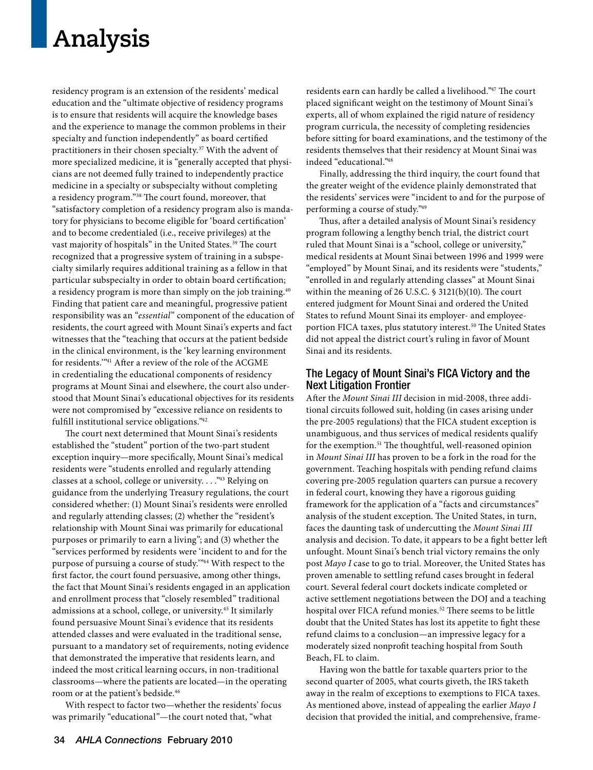## **Analysis**

residency program is an extension of the residents' medical education and the "ultimate objective of residency programs is to ensure that residents will acquire the knowledge bases and the experience to manage the common problems in their specialty and function independently" as board certified practitioners in their chosen specialty.37 With the advent of more specialized medicine, it is "generally accepted that physicians are not deemed fully trained to independently practice medicine in a specialty or subspecialty without completing a residency program."38 The court found, moreover, that "satisfactory completion of a residency program also is mandatory for physicians to become eligible for 'board certification' and to become credentialed (i.e., receive privileges) at the vast majority of hospitals" in the United States.<sup>39</sup> The court recognized that a progressive system of training in a subspecialty similarly requires additional training as a fellow in that particular subspecialty in order to obtain board certification; a residency program is more than simply on the job training.<sup>40</sup> Finding that patient care and meaningful, progressive patient responsibility was an "*essential*" component of the education of residents, the court agreed with Mount Sinai's experts and fact witnesses that the "teaching that occurs at the patient bedside in the clinical environment, is the 'key learning environment for residents.'"41 After a review of the role of the ACGME in credentialing the educational components of residency programs at Mount Sinai and elsewhere, the court also understood that Mount Sinai's educational objectives for its residents were not compromised by "excessive reliance on residents to fulfill institutional service obligations."42

The court next determined that Mount Sinai's residents established the "student" portion of the two-part student exception inquiry—more specifically, Mount Sinai's medical residents were "students enrolled and regularly attending classes at a school, college or university. . . ."43 Relying on guidance from the underlying Treasury regulations, the court considered whether: (1) Mount Sinai's residents were enrolled and regularly attending classes; (2) whether the "resident's relationship with Mount Sinai was primarily for educational purposes or primarily to earn a living"; and (3) whether the "services performed by residents were 'incident to and for the purpose of pursuing a course of study.'"44 With respect to the first factor, the court found persuasive, among other things, the fact that Mount Sinai's residents engaged in an application and enrollment process that "closely resembled" traditional admissions at a school, college, or university.45 It similarly found persuasive Mount Sinai's evidence that its residents attended classes and were evaluated in the traditional sense, pursuant to a mandatory set of requirements, noting evidence that demonstrated the imperative that residents learn, and indeed the most critical learning occurs, in non-traditional classrooms—where the patients are located—in the operating room or at the patient's bedside.46

With respect to factor two—whether the residents' focus was primarily "educational"—the court noted that, "what

residents earn can hardly be called a livelihood."47 The court placed significant weight on the testimony of Mount Sinai's experts, all of whom explained the rigid nature of residency program curricula, the necessity of completing residencies before sitting for board examinations, and the testimony of the residents themselves that their residency at Mount Sinai was indeed "educational."48

Finally, addressing the third inquiry, the court found that the greater weight of the evidence plainly demonstrated that the residents' services were "incident to and for the purpose of performing a course of study."49

Thus, after a detailed analysis of Mount Sinai's residency program following a lengthy bench trial, the district court ruled that Mount Sinai is a "school, college or university," medical residents at Mount Sinai between 1996 and 1999 were "employed" by Mount Sinai, and its residents were "students," "enrolled in and regularly attending classes" at Mount Sinai within the meaning of 26 U.S.C. § 3121(b)(10). The court entered judgment for Mount Sinai and ordered the United States to refund Mount Sinai its employer- and employeeportion FICA taxes, plus statutory interest.<sup>50</sup> The United States did not appeal the district court's ruling in favor of Mount Sinai and its residents.

#### The Legacy of Mount Sinai's FICA Victory and the Next Litigation Frontier

After the *Mount Sinai III* decision in mid-2008, three additional circuits followed suit, holding (in cases arising under the pre-2005 regulations) that the FICA student exception is unambiguous, and thus services of medical residents qualify for the exemption.<sup>51</sup> The thoughtful, well-reasoned opinion in *Mount Sinai III* has proven to be a fork in the road for the government. Teaching hospitals with pending refund claims covering pre-2005 regulation quarters can pursue a recovery in federal court, knowing they have a rigorous guiding framework for the application of a "facts and circumstances" analysis of the student exception. The United States, in turn, faces the daunting task of undercutting the *Mount Sinai III* analysis and decision. To date, it appears to be a fight better left unfought. Mount Sinai's bench trial victory remains the only post *Mayo I* case to go to trial. Moreover, the United States has proven amenable to settling refund cases brought in federal court. Several federal court dockets indicate completed or active settlement negotiations between the DOJ and a teaching hospital over FICA refund monies.<sup>52</sup> There seems to be little doubt that the United States has lost its appetite to fight these refund claims to a conclusion—an impressive legacy for a moderately sized nonprofit teaching hospital from South Beach, FL to claim.

Having won the battle for taxable quarters prior to the second quarter of 2005, what courts giveth, the IRS taketh away in the realm of exceptions to exemptions to FICA taxes. As mentioned above, instead of appealing the earlier *Mayo I* decision that provided the initial, and comprehensive, frame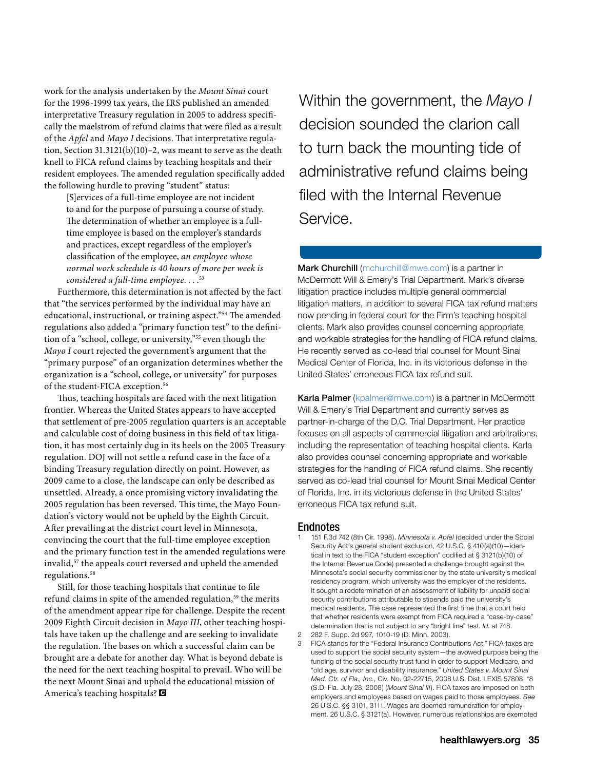work for the analysis undertaken by the *Mount Sinai* court for the 1996-1999 tax years, the IRS published an amended interpretative Treasury regulation in 2005 to address specifically the maelstrom of refund claims that were filed as a result of the *Apfel* and *Mayo I* decisions. That interpretative regulation, Section 31.3121(b)(10)–2, was meant to serve as the death knell to FICA refund claims by teaching hospitals and their resident employees. The amended regulation specifically added the following hurdle to proving "student" status:

[S]ervices of a full-time employee are not incident to and for the purpose of pursuing a course of study. The determination of whether an employee is a fulltime employee is based on the employer's standards and practices, except regardless of the employer's classification of the employee, *an employee whose normal work schedule is 40 hours of more per week is considered a full-time employee*. . . .53

Furthermore, this determination is not affected by the fact that "the services performed by the individual may have an educational, instructional, or training aspect."54 The amended regulations also added a "primary function test" to the definition of a "school, college, or university,"55 even though the *Mayo I* court rejected the government's argument that the "primary purpose" of an organization determines whether the organization is a "school, college, or university" for purposes of the student-FICA exception.56

Thus, teaching hospitals are faced with the next litigation frontier. Whereas the United States appears to have accepted that settlement of pre-2005 regulation quarters is an acceptable and calculable cost of doing business in this field of tax litigation, it has most certainly dug in its heels on the 2005 Treasury regulation. DOJ will not settle a refund case in the face of a binding Treasury regulation directly on point. However, as 2009 came to a close, the landscape can only be described as unsettled. Already, a once promising victory invalidating the 2005 regulation has been reversed. This time, the Mayo Foundation's victory would not be upheld by the Eighth Circuit. After prevailing at the district court level in Minnesota, convincing the court that the full-time employee exception and the primary function test in the amended regulations were invalid,57 the appeals court reversed and upheld the amended regulations.58

Still, for those teaching hospitals that continue to file refund claims in spite of the amended regulation,<sup>59</sup> the merits of the amendment appear ripe for challenge. Despite the recent 2009 Eighth Circuit decision in *Mayo III*, other teaching hospitals have taken up the challenge and are seeking to invalidate the regulation. The bases on which a successful claim can be brought are a debate for another day. What is beyond debate is the need for the next teaching hospital to prevail. Who will be the next Mount Sinai and uphold the educational mission of America's teaching hospitals?

Within the government, the *Mayo I* decision sounded the clarion call to turn back the mounting tide of administrative refund claims being filed with the Internal Revenue Service.

Mark Churchill ([mchurchill@mwe.com](mailto:mchurchill@mwe.com)) is a partner in McDermott Will & Emery's Trial Department. Mark's diverse litigation practice includes multiple general commercial litigation matters, in addition to several FICA tax refund matters now pending in federal court for the Firm's teaching hospital clients. Mark also provides counsel concerning appropriate and workable strategies for the handling of FICA refund claims. He recently served as co-lead trial counsel for Mount Sinai Medical Center of Florida, Inc. in its victorious defense in the United States' erroneous FICA tax refund suit.

Karla Palmer ([kpalmer@mwe.com\)](mailto:kpalmer@mwe.com) is a partner in McDermott Will & Emery's Trial Department and currently serves as partner-in-charge of the D.C. Trial Department. Her practice focuses on all aspects of commercial litigation and arbitrations, including the representation of teaching hospital clients. Karla also provides counsel concerning appropriate and workable strategies for the handling of FICA refund claims. She recently served as co-lead trial counsel for Mount Sinai Medical Center of Florida, Inc. in its victorious defense in the United States' erroneous FICA tax refund suit.

#### Endnotes

1 151 F.3d 742 (8th Cir. 1998). *Minnesota v. Apfel* (decided under the Social Security Act's general student exclusion, 42 U.S.C. § 410(a)(10)—identical in text to the FICA "student exception" codified at § 3121(b)(10) of the Internal Revenue Code) presented a challenge brought against the Minnesota's social security commissioner by the state university's medical residency program, which university was the employer of the residents. It sought a redetermination of an assessment of liability for unpaid social security contributions attributable to stipends paid the university's medical residents. The case represented the first time that a court held that whether residents were exempt from FICA required a "case-by-case" determination that is not subject to any "bright line" test. *Id*. at 748.

<sup>2</sup> 282 F. Supp. 2d 997, 1010-19 (D. Minn. 2003).

<sup>3</sup> FICA stands for the "Federal Insurance Contributions Act." FICA taxes are used to support the social security system—the avowed purpose being the funding of the social security trust fund in order to support Medicare, and "old age, survivor and disability insurance." *United States v. Mount Sinai Med. Ctr. of Fla., Inc.*, Civ. No. 02-22715, 2008 U.S. Dist. LEXIS 57808, \*8 (S.D. Fla. July 28, 2008) (*Mount Sinai III*). FICA taxes are imposed on both employers and employees based on wages paid to those employees. *See* 26 U.S.C. §§ 3101, 3111. Wages are deemed remuneration for employment. 26 U.S.C. § 3121(a). However, numerous relationships are exempted